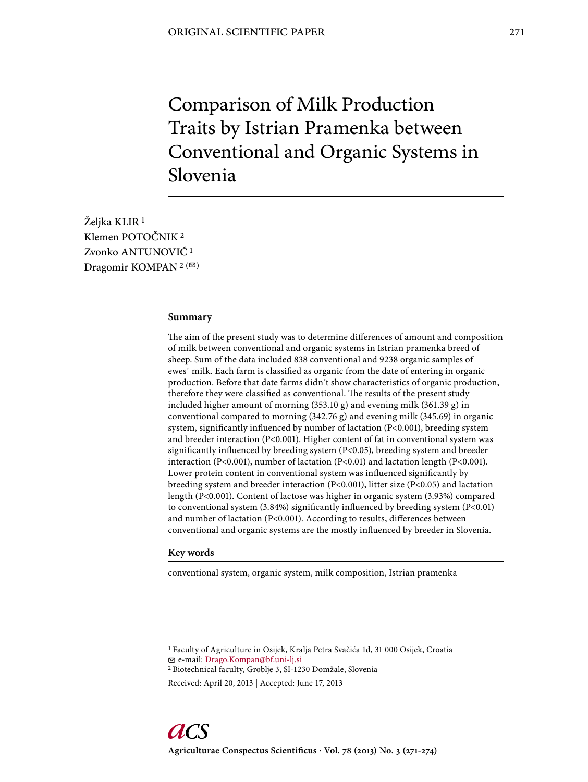# Comparison of Milk Production Traits by Istrian Pramenka between Conventional and Organic Systems in Slovenia

Željka KLIR<sup>1</sup> Klemen POTOČNIK 2 Zvonko ANTUNOVIĆ 1 Dragomir KOMPAN<sup>2 ( $\textcircled{2}$ )</sup>

### **Summary**

The aim of the present study was to determine differences of amount and composition of milk between conventional and organic systems in Istrian pramenka breed of sheep. Sum of the data included 838 conventional and 9238 organic samples of ewes' milk. Each farm is classified as organic from the date of entering in organic production. Before that date farms didn´t show characteristics of organic production, therefore they were classified as conventional. The results of the present study included higher amount of morning (353.10 g) and evening milk (361.39 g) in conventional compared to morning (342.76 g) and evening milk (345.69) in organic system, significantly influenced by number of lactation (P<0.001), breeding system and breeder interaction (P<0.001). Higher content of fat in conventional system was significantly influenced by breeding system  $(P<0.05)$ , breeding system and breeder interaction (P<0.001), number of lactation (P<0.01) and lactation length (P<0.001). Lower protein content in conventional system was influenced significantly by breeding system and breeder interaction (P<0.001), litter size (P<0.05) and lactation length (P<0.001). Content of lactose was higher in organic system (3.93%) compared to conventional system  $(3.84%)$  significantly influenced by breeding system  $(P<0.01)$ and number of lactation (P<0.001). According to results, differences between conventional and organic systems are the mostly influenced by breeder in Slovenia.

## **Key words**

conventional system, organic system, milk composition, Istrian pramenka

1 Faculty of Agriculture in Osijek, Kralja Petra Svačića 1d, 31 000 Osijek, Croatia e-mail: Drago.Kompan@bf.uni-lj.si

2 Biotechnical faculty, Groblje 3, SI-1230 Domžale, Slovenia

Received: April 20, 2013 | Accepted: June 17, 2013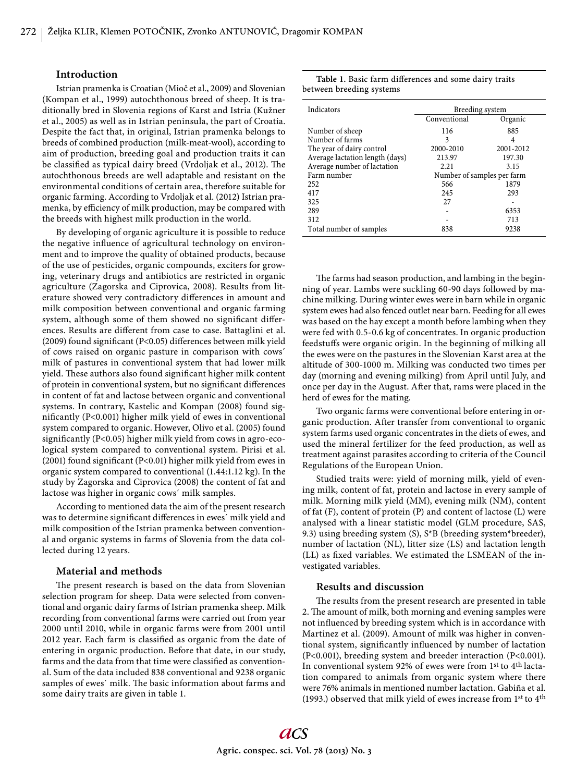#### **Introduction**

Istrian pramenka is Croatian (Mioč et al., 2009) and Slovenian (Kompan et al., 1999) autochthonous breed of sheep. It is traditionally bred in Slovenia regions of Karst and Istria (Kužner et al., 2005) as well as in Istrian peninsula, the part of Croatia. Despite the fact that, in original, Istrian pramenka belongs to breeds of combined production (milk-meat-wool), according to aim of production, breeding goal and production traits it can be classified as typical dairy breed (Vrdoljak et al., 2012). The autochthonous breeds are well adaptable and resistant on the environmental conditions of certain area, therefore suitable for organic farming. According to Vrdoljak et al. (2012) Istrian pramenka, by efficiency of milk production, may be compared with the breeds with highest milk production in the world.

By developing of organic agriculture it is possible to reduce the negative influence of agricultural technology on environment and to improve the quality of obtained products, because of the use of pesticides, organic compounds, exciters for growing, veterinary drugs and antibiotics are restricted in organic agriculture (Zagorska and Ciprovica, 2008). Results from literature showed very contradictory differences in amount and milk composition between conventional and organic farming system, although some of them showed no significant differences. Results are different from case to case. Battaglini et al. (2009) found significant (P<0.05) differences between milk yield of cows raised on organic pasture in comparison with cows´ milk of pastures in conventional system that had lower milk yield. These authors also found significant higher milk content of protein in conventional system, but no significant differences in content of fat and lactose between organic and conventional systems. In contrary, Kastelic and Kompan (2008) found significantly (P<0.001) higher milk yield of ewes in conventional system compared to organic. However, Olivo et al. (2005) found significantly (P<0.05) higher milk yield from cows in agro-ecological system compared to conventional system. Pirisi et al. (2001) found significant (P<0.01) higher milk yield from ewes in organic system compared to conventional (1.44:1.12 kg). In the study by Zagorska and Ciprovica (2008) the content of fat and lactose was higher in organic cows´ milk samples.

According to mentioned data the aim of the present research was to determine significant differences in ewes' milk yield and milk composition of the Istrian pramenka between conventional and organic systems in farms of Slovenia from the data collected during 12 years.

# **Material and methods**

The present research is based on the data from Slovenian selection program for sheep. Data were selected from conventional and organic dairy farms of Istrian pramenka sheep. Milk recording from conventional farms were carried out from year 2000 until 2010, while in organic farms were from 2001 until 2012 year. Each farm is classified as organic from the date of entering in organic production. Before that date, in our study, farms and the data from that time were classified as conventional. Sum of the data included 838 conventional and 9238 organic samples of ewes' milk. The basic information about farms and some dairy traits are given in table 1.

|                          | Table 1. Basic farm differences and some dairy traits |  |  |
|--------------------------|-------------------------------------------------------|--|--|
| between breeding systems |                                                       |  |  |

| Indicators                      | Breeding system            |           |  |  |  |
|---------------------------------|----------------------------|-----------|--|--|--|
|                                 | Conventional               | Organic   |  |  |  |
| Number of sheep                 | 116                        | 885       |  |  |  |
| Number of farms                 | 3                          | 4         |  |  |  |
| The year of dairy control       | 2000-2010                  | 2001-2012 |  |  |  |
| Average lactation length (days) | 213.97                     | 197.30    |  |  |  |
| Average number of lactation     | 2.21                       | 3.15      |  |  |  |
| Farm number                     | Number of samples per farm |           |  |  |  |
| 252                             | 566                        | 1879      |  |  |  |
| 417                             | 245                        | 293       |  |  |  |
| 325                             | 27                         |           |  |  |  |
| 289                             |                            | 6353      |  |  |  |
| 312                             |                            | 713       |  |  |  |
| Total number of samples         | 838                        | 9238      |  |  |  |

The farms had season production, and lambing in the beginning of year. Lambs were suckling 60-90 days followed by machine milking. During winter ewes were in barn while in organic system ewes had also fenced outlet near barn. Feeding for all ewes was based on the hay except a month before lambing when they were fed with 0.5-0.6 kg of concentrates. In organic production feedstuffs were organic origin. In the beginning of milking all the ewes were on the pastures in the Slovenian Karst area at the altitude of 300-1000 m. Milking was conducted two times per day (morning and evening milking) from April until July, and once per day in the August. After that, rams were placed in the herd of ewes for the mating.

Two organic farms were conventional before entering in organic production. After transfer from conventional to organic system farms used organic concentrates in the diets of ewes, and used the mineral fertilizer for the feed production, as well as treatment against parasites according to criteria of the Council Regulations of the European Union.

Studied traits were: yield of morning milk, yield of evening milk, content of fat, protein and lactose in every sample of milk. Morning milk yield (MM), evening milk (NM), content of fat (F), content of protein (P) and content of lactose (L) were analysed with a linear statistic model (GLM procedure, SAS, 9.3) using breeding system (S), S\*B (breeding system\*breeder), number of lactation (NL), litter size (LS) and lactation length (LL) as fixed variables. We estimated the LSMEAN of the investigated variables.

## **Results and discussion**

The results from the present research are presented in table 2. The amount of milk, both morning and evening samples were not influenced by breeding system which is in accordance with Martinez et al. (2009). Amount of milk was higher in conventional system, significantly influenced by number of lactation (P<0.001), breeding system and breeder interaction (P<0.001). In conventional system 92% of ewes were from 1<sup>st</sup> to 4<sup>th</sup> lactation compared to animals from organic system where there were 76% animals in mentioned number lactation. Gabiña et al. (1993.) observed that milk yield of ewes increase from 1st to 4th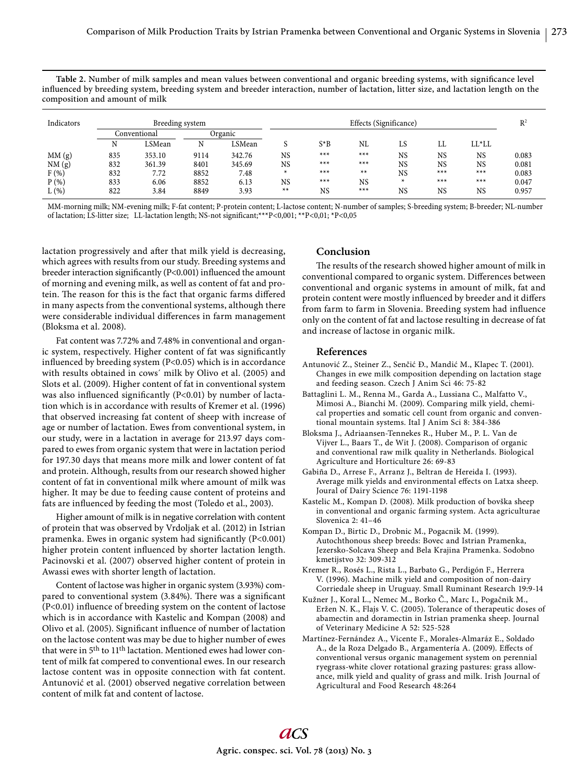Table 2. Number of milk samples and mean values between conventional and organic breeding systems, with significance level influenced by breeding system, breeding system and breeder interaction, number of lactation, litter size, and lactation length on the composition and amount of milk

| Indicators |              | Breeding system |         |        | Effects (Significance) |           |           |           |           |           | $R^2$ |
|------------|--------------|-----------------|---------|--------|------------------------|-----------|-----------|-----------|-----------|-----------|-------|
|            | Conventional |                 | Organic |        |                        |           |           |           |           |           |       |
|            | N            | LSMean          | N       | LSMean |                        | $S^*B$    | NL        | LS        | LL        | $LL^*LL$  |       |
| MM(g)      | 835          | 353.10          | 9114    | 342.76 | <b>NS</b>              | $***$     | $***$     | <b>NS</b> | <b>NS</b> | <b>NS</b> | 0.083 |
| NM(g)      | 832          | 361.39          | 8401    | 345.69 | NS                     | $***$     | $***$     | <b>NS</b> | <b>NS</b> | <b>NS</b> | 0.081 |
| F(%)       | 832          | 7.72            | 8852    | 7.48   | $\ast$                 | $***$     | $**$      | <b>NS</b> | $***$     | $***$     | 0.083 |
| P(% )      | 833          | 6.06            | 8852    | 6.13   | NS                     | $***$     | <b>NS</b> | *         | $***$     | $***$     | 0.047 |
| $L(\%)$    | 822          | 3.84            | 8849    | 3.93   | $**$                   | <b>NS</b> | $***$     | NS        | <b>NS</b> | NS        | 0.957 |

MM-morning milk; NM-evening milk; F-fat content; P-protein content; L-lactose content; N-number of samples; S-breeding system; B-breeder; NL-number of lactation; LS-litter size; LL-lactation length; NS-not significant;\*\*\*P<0,001; \*\*P<0,01; \*P<0,05

lactation progressively and after that milk yield is decreasing, which agrees with results from our study. Breeding systems and breeder interaction significantly (P<0.001) influenced the amount of morning and evening milk, as well as content of fat and protein. The reason for this is the fact that organic farms differed in many aspects from the conventional systems, although there were considerable individual differences in farm management (Bloksma et al. 2008).

Fat content was 7.72% and 7.48% in conventional and organic system, respectively. Higher content of fat was significantly influenced by breeding system  $(P<0.05)$  which is in accordance with results obtained in cows´ milk by Olivo et al. (2005) and Slots et al. (2009). Higher content of fat in conventional system was also influenced significantly ( $P<0.01$ ) by number of lactation which is in accordance with results of Kremer et al. (1996) that observed increasing fat content of sheep with increase of age or number of lactation. Ewes from conventional system, in our study, were in a lactation in average for 213.97 days compared to ewes from organic system that were in lactation period for 197.30 days that means more milk and lower content of fat and protein. Although, results from our research showed higher content of fat in conventional milk where amount of milk was higher. It may be due to feeding cause content of proteins and fats are influenced by feeding the most (Toledo et al., 2003).

Higher amount of milk is in negative correlation with content of protein that was observed by Vrdoljak et al. (2012) in Istrian pramenka. Ewes in organic system had significantly  $(P<0.001)$ higher protein content influenced by shorter lactation length. Pacinovski et al. (2007) observed higher content of protein in Awassi ewes with shorter length of lactation.

Content of lactose was higher in organic system (3.93%) compared to conventional system (3.84%). There was a significant  $(P<0.01)$  influence of breeding system on the content of lactose which is in accordance with Kastelic and Kompan (2008) and Olivo et al. (2005). Significant influence of number of lactation on the lactose content was may be due to higher number of ewes that were in 5th to 11th lactation. Mentioned ewes had lower content of milk fat compered to conventional ewes. In our research lactose content was in opposite connection with fat content. Antunović et al. (2001) observed negative correlation between content of milk fat and content of lactose.

# **Conclusion**

The results of the research showed higher amount of milk in conventional compared to organic system. Differences between conventional and organic systems in amount of milk, fat and protein content were mostly influenced by breeder and it differs from farm to farm in Slovenia. Breeding system had influence only on the content of fat and lactose resulting in decrease of fat and increase of lactose in organic milk.

### **References**

- Antunović Z., Steiner Z., Senčić Đ., Mandić M., Klapec T. (2001). Changes in ewe milk composition depending on lactation stage and feeding season. Czech J Anim Sci 46: 75-82
- Battaglini L. M., Renna M., Garda A., Lussiana C., Malfatto V., Mimosi A., Bianchi M. (2009). Comparing milk yield, chemical properties and somatic cell count from organic and conventional mountain systems. Ital J Anim Sci 8: 384-386
- Bloksma J., Adriaansen-Tennekes R., Huber M., P. L. Van de Vijver L., Baars T., de Wit J. (2008). Comparison of organic and conventional raw milk quality in Netherlands. Biological Agriculture and Horticulture 26: 69-83
- Gabiña D., Arrese F., Arranz J., Beltran de Hereida I. (1993). Average milk yields and environmental effects on Latxa sheep. Joural of Dairy Science 76: 1191-1198
- Kastelic M., Kompan D. (2008). Milk production of bovška sheep in conventional and organic farming system. Acta agriculturae Slovenica 2: 41–46
- Kompan D., Birtic D., Drobnic M., Pogacnik M. (1999). Autochthonous sheep breeds: Bovec and Istrian Pramenka, Jezersko-Solcava Sheep and Bela Krajina Pramenka. Sodobno kmetijstvo 32: 309-312
- Kremer R., Rosés L., Rista L., Barbato G., Perdigón F., Herrera V. (1996). Machine milk yield and composition of non-dairy Corriedale sheep in Uruguay. Small Ruminant Research 19:9-14
- Kužner J., Koral L., Nemec M., Borko Č., Marc I., Pogačnik M., Eržen N. K., Flajs V. C. (2005). Tolerance of therapeutic doses of abamectin and doramectin in Istrian pramenka sheep. Journal of Veterinary Medicine A 52: 525-528
- Martínez-Fernández A., Vicente F., Morales-Almaráz E., Soldado A., de la Roza Delgado B., Argamentería A. (2009). Effects of conventional versus organic management system on perennial ryegrass-white clover rotational grazing pastures: grass allowance, milk yield and quality of grass and milk. Irish Journal of Agricultural and Food Research 48:264